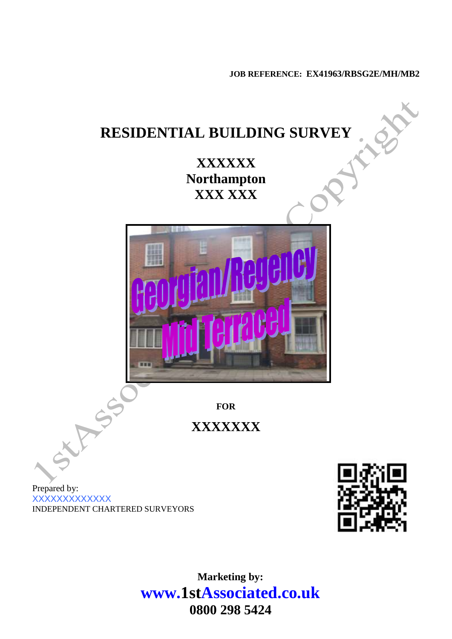**JOB REFERENCE: EX41963/RBSG2E/MH/MB2**



**Marketing by: www.1stAssociated.co.uk 0800 298 5424**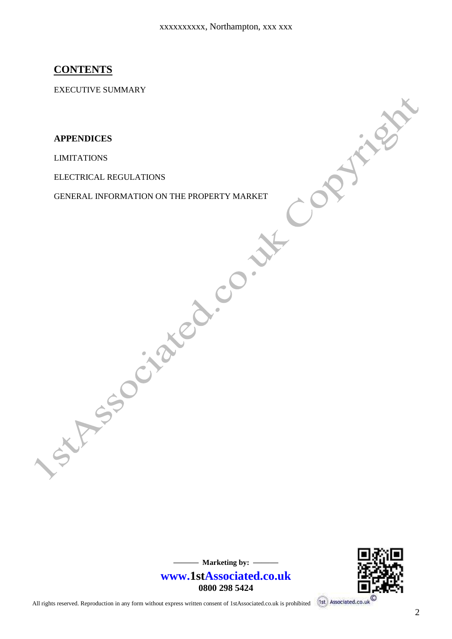#### **CONTENTS**

EXECUTIVE SUMMARY

**APPENDICES**

LIMITATIONS

ELECTRICAL REGULATIONS

GENERAL INFORMATION ON THE PROPERTY MARKET



**www.1stAssociated.co.uk 0800 298 5424**

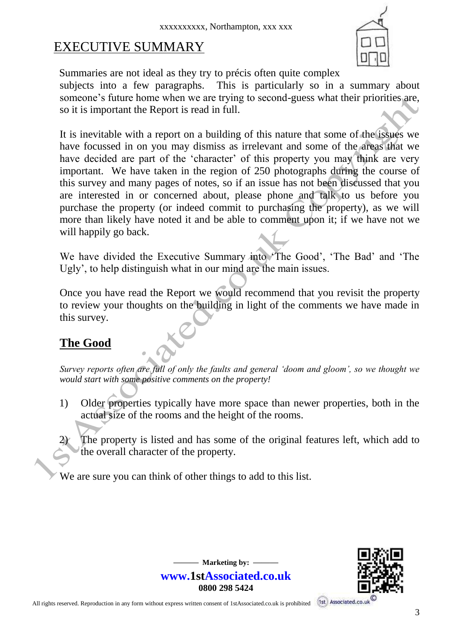# EXECUTIVE SUMMARY



Summaries are not ideal as they try to précis often quite complex subjects into a few paragraphs. This is particularly so in a summary about someone's future home when we are trying to second-guess what their priorities are, so it is important the Report is read in full.

It is inevitable with a report on a building of this nature that some of the issues we have focussed in on you may dismiss as irrelevant and some of the areas that we have decided are part of the 'character' of this property you may think are very important. We have taken in the region of 250 photographs during the course of this survey and many pages of notes, so if an issue has not been discussed that you are interested in or concerned about, please phone and talk to us before you purchase the property (or indeed commit to purchasing the property), as we will more than likely have noted it and be able to comment upon it; if we have not we will happily go back.

We have divided the Executive Summary into 'The Good', 'The Bad' and 'The Ugly', to help distinguish what in our mind are the main issues.

Once you have read the Report we would recommend that you revisit the property to review your thoughts on the building in light of the comments we have made in this survey.

# **The Good**

*Survey reports often are full of only the faults and general 'doom and gloom', so we thought we would start with some positive comments on the property!*

- 1) Older properties typically have more space than newer properties, both in the actual size of the rooms and the height of the rooms.
	- The property is listed and has some of the original features left, which add to the overall character of the property.

**——— Marketing by: —— www.1stAssociated.co.uk 0800 298 5424**

We are sure you can think of other things to add to this list.

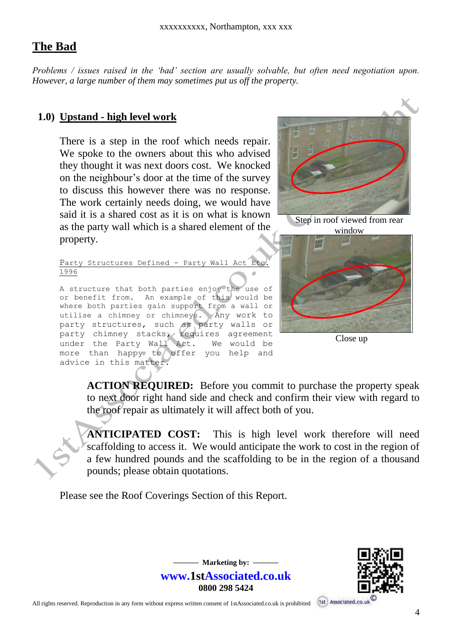#### **The Bad**

*Problems / issues raised in the 'bad' section are usually solvable, but often need negotiation upon. However, a large number of them may sometimes put us off the property.* 

#### **1.0) Upstand - high level work**

There is a step in the roof which needs repair. We spoke to the owners about this who advised they thought it was next doors cost. We knocked on the neighbour's door at the time of the survey to discuss this however there was no response. The work certainly needs doing, we would have said it is a shared cost as it is on what is known as the party wall which is a shared element of the property.



Step in roof viewed from rear window

Party Structures Defined - Party Wall Act Etc. 1996

A structure that both parties enjoy the use of or benefit from. An example of this would be where both parties gain support from a wall or utilise a chimney or chimneys. Any work to party structures, such as party walls or party chimney stacks, requires agreement under the Party Wall Act. We would be more than happy to offer you help and advice in this matter.



Close up

**ACTION REQUIRED:** Before you commit to purchase the property speak to next door right hand side and check and confirm their view with regard to the roof repair as ultimately it will affect both of you.

**ANTICIPATED COST:** This is high level work therefore will need scaffolding to access it. We would anticipate the work to cost in the region of a few hundred pounds and the scaffolding to be in the region of a thousand pounds; please obtain quotations.

> $-$  Marketing by:  $$ **www.1stAssociated.co.uk 0800 298 5424**

Please see the Roof Coverings Section of this Report.

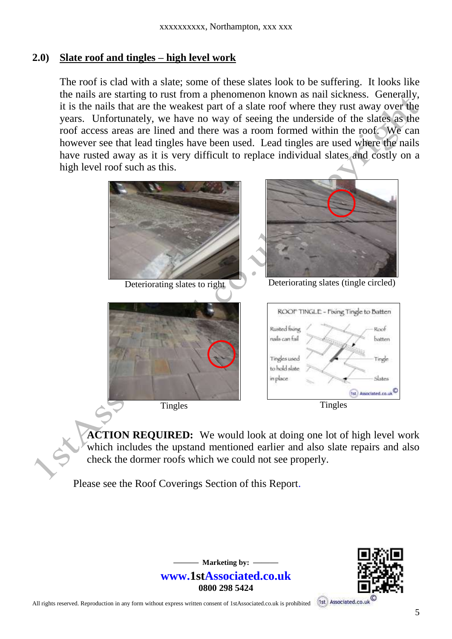#### **2.0) Slate roof and tingles – high level work**

The roof is clad with a slate; some of these slates look to be suffering. It looks like the nails are starting to rust from a phenomenon known as nail sickness. Generally, it is the nails that are the weakest part of a slate roof where they rust away over the years. Unfortunately, we have no way of seeing the underside of the slates as the roof access areas are lined and there was a room formed within the roof. We can however see that lead tingles have been used. Lead tingles are used where the nails have rusted away as it is very difficult to replace individual slates and costly on a high level roof such as this.



**ACTION REQUIRED:** We would look at doing one lot of high level work which includes the upstand mentioned earlier and also slate repairs and also check the dormer roofs which we could not see properly.

Please see the Roof Coverings Section of this Report.

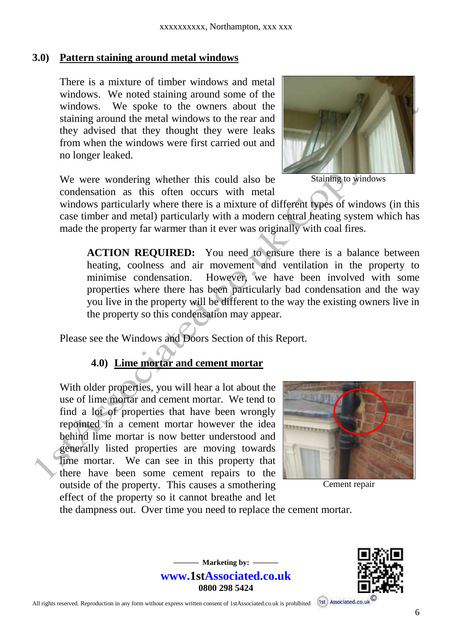#### **3.0) Pattern staining around metal windows**

There is a mixture of timber windows and metal windows. We noted staining around some of the windows. We spoke to the owners about the staining around the metal windows to the rear and they advised that they thought they were leaks from when the windows were first carried out and no longer leaked.

We were wondering whether this could also be condensation as this often occurs with metal



Staining to windows

windows particularly where there is a mixture of different types of windows (in this case timber and metal) particularly with a modern central heating system which has made the property far warmer than it ever was originally with coal fires.

**ACTION REQUIRED:** You need to ensure there is a balance between heating, coolness and air movement and ventilation in the property to minimise condensation. However, we have been involved with some properties where there has been particularly bad condensation and the way you live in the property will be different to the way the existing owners live in the property so this condensation may appear.

Please see the Windows and Doors Section of this Report.

#### **4.0) Lime mortar and cement mortar**

With older properties, you will hear a lot about the use of lime mortar and cement mortar. We tend to find a lot of properties that have been wrongly repointed in a cement mortar however the idea behind lime mortar is now better understood and generally listed properties are moving towards lime mortar. We can see in this property that there have been some cement repairs to the outside of the property. This causes a smothering effect of the property so it cannot breathe and let



Cement repair

the dampness out. Over time you need to replace the cement mortar.

**——— Marketing by: —— www.1stAssociated.co.uk 0800 298 5424**

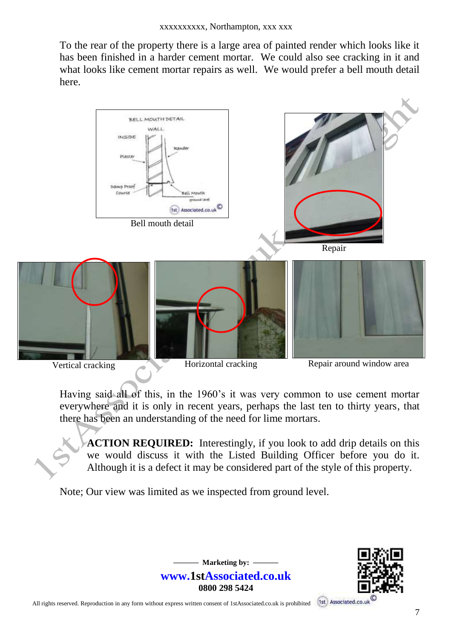To the rear of the property there is a large area of painted render which looks like it has been finished in a harder cement mortar. We could also see cracking in it and what looks like cement mortar repairs as well. We would prefer a bell mouth detail here.



Having said all of this, in the 1960's it was very common to use cement mortar everywhere and it is only in recent years, perhaps the last ten to thirty years, that there has been an understanding of the need for lime mortars.

> $-$  Marketing by:  $$ **www.1stAssociated.co.uk 0800 298 5424**

**ACTION REQUIRED:** Interestingly, if you look to add drip details on this we would discuss it with the Listed Building Officer before you do it. Although it is a defect it may be considered part of the style of this property.

Note; Our view was limited as we inspected from ground level.

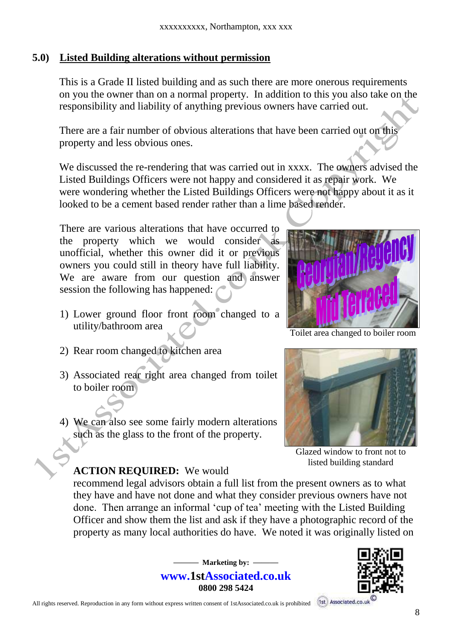#### **5.0) Listed Building alterations without permission**

This is a Grade II listed building and as such there are more onerous requirements on you the owner than on a normal property. In addition to this you also take on the responsibility and liability of anything previous owners have carried out.

There are a fair number of obvious alterations that have been carried out on this property and less obvious ones.

We discussed the re-rendering that was carried out in xxxx. The owners advised the Listed Buildings Officers were not happy and considered it as repair work. We were wondering whether the Listed Buildings Officers were not happy about it as it looked to be a cement based render rather than a lime based render.

There are various alterations that have occurred to the property which we would consider as unofficial, whether this owner did it or previous owners you could still in theory have full liability. We are aware from our question and answer session the following has happened:

- 1) Lower ground floor front room changed to a utility/bathroom area
- 2) Rear room changed to kitchen area
- 3) Associated rear right area changed from toilet to boiler room
- 4) We can also see some fairly modern alterations such as the glass to the front of the property.

**ACTION REQUIRED:** We would

Toilet area changed to boiler room



Glazed window to front not to listed building standard

recommend legal advisors obtain a full list from the present owners as to what they have and have not done and what they consider previous owners have not done. Then arrange an informal 'cup of tea' meeting with the Listed Building Officer and show them the list and ask if they have a photographic record of the property as many local authorities do have. We noted it was originally listed on

> $-$  Marketing by:  $$ **www.1stAssociated.co.uk 0800 298 5424**

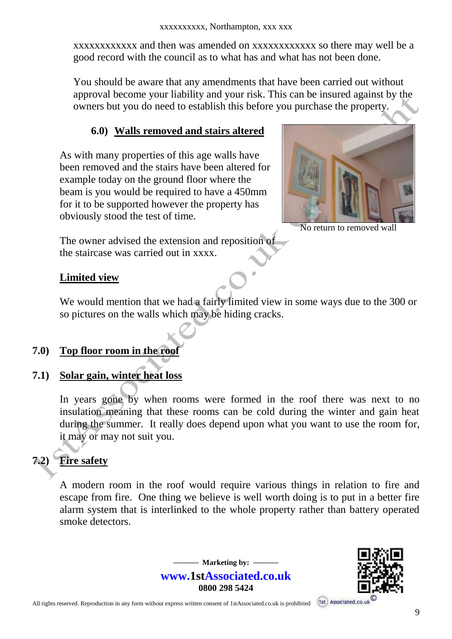xxxxxxxxxxxx and then was amended on xxxxxxxxxxxx so there may well be a good record with the council as to what has and what has not been done.

You should be aware that any amendments that have been carried out without approval become your liability and your risk. This can be insured against by the owners but you do need to establish this before you purchase the property.

#### **6.0) Walls removed and stairs altered**

As with many properties of this age walls have been removed and the stairs have been altered for example today on the ground floor where the beam is you would be required to have a 450mm for it to be supported however the property has obviously stood the test of time.



No return to removed wall

The owner advised the extension and reposition of the staircase was carried out in xxxx.

#### **Limited view**

We would mention that we had a fairly limited view in some ways due to the 300 or so pictures on the walls which may be hiding cracks.

#### **7.0) Top floor room in the roof**

# **7.1) Solar gain, winter heat loss**

In years gone by when rooms were formed in the roof there was next to no insulation meaning that these rooms can be cold during the winter and gain heat during the summer. It really does depend upon what you want to use the room for, it may or may not suit you.

# **7.2) Fire safety**

A modern room in the roof would require various things in relation to fire and escape from fire. One thing we believe is well worth doing is to put in a better fire alarm system that is interlinked to the whole property rather than battery operated smoke detectors.



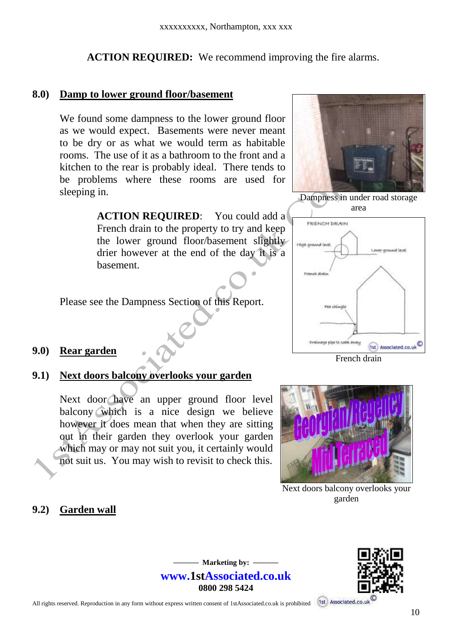**ACTION REQUIRED:** We recommend improving the fire alarms.

#### **8.0) Damp to lower ground floor/basement**

We found some dampness to the lower ground floor as we would expect. Basements were never meant to be dry or as what we would term as habitable rooms. The use of it as a bathroom to the front and a kitchen to the rear is probably ideal. There tends to be problems where these rooms are used for sleeping in.

> **ACTION REQUIRED:** You could add a French drain to the property to try and keep the lower ground floor/basement slightly drier however at the end of the day it is a basement.

Please see the Dampness Section of this Report.

#### **9.0) Rear garden**

#### **9.1) Next doors balcony overlooks your garden**

Next door have an upper ground floor level balcony which is a nice design we believe however it does mean that when they are sitting out in their garden they overlook your garden which may or may not suit you, it certainly would not suit us. You may wish to revisit to check this.

#### **9.2) Garden wall**



Dampness in under road storage area



French drain



Next doors balcony overlooks your garden



**——— Marketing by: —— www.1stAssociated.co.uk 0800 298 5424**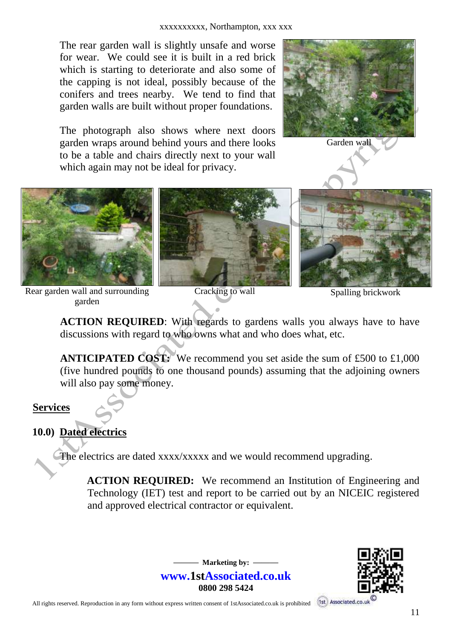The rear garden wall is slightly unsafe and worse for wear. We could see it is built in a red brick which is starting to deteriorate and also some of the capping is not ideal, possibly because of the conifers and trees nearby. We tend to find that garden walls are built without proper foundations.

The photograph also shows where next doors garden wraps around behind yours and there looks to be a table and chairs directly next to your wall which again may not be ideal for privacy.



Garden wall



garden

Spalling brickwork

**ACTION REQUIRED**: With regards to gardens walls you always have to have discussions with regard to who owns what and who does what, etc.

**ANTICIPATED COST:** We recommend you set aside the sum of £500 to £1,000 (five hundred pounds to one thousand pounds) assuming that the adjoining owners will also pay some money.

#### **Services**

#### **10.0) Dated electrics**

The electrics are dated xxxx/xxxxx and we would recommend upgrading.

**ACTION REQUIRED:** We recommend an Institution of Engineering and Technology (IET) test and report to be carried out by an NICEIC registered and approved electrical contractor or equivalent.



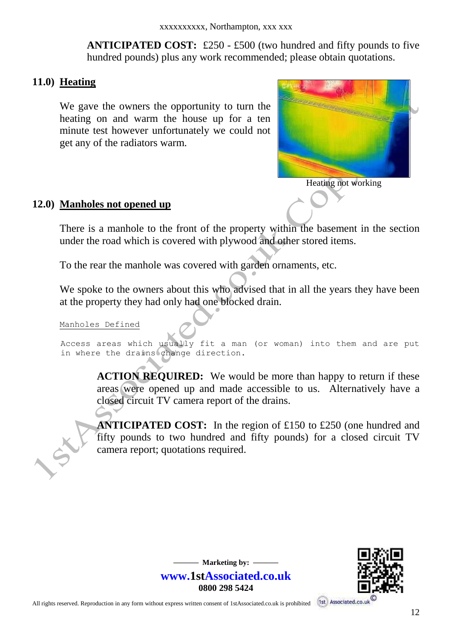**ANTICIPATED COST:** £250 - £500 (two hundred and fifty pounds to five hundred pounds) plus any work recommended; please obtain quotations.

#### **11.0) Heating**

We gave the owners the opportunity to turn the heating on and warm the house up for a ten minute test however unfortunately we could not get any of the radiators warm.



**12.0) Manholes not opened up**

There is a manhole to the front of the property within the basement in the section under the road which is covered with plywood and other stored items.

To the rear the manhole was covered with garden ornaments, etc.

We spoke to the owners about this who advised that in all the years they have been at the property they had only had one blocked drain.

#### Manholes Defined

 $\subset$ 

Access areas which usually fit a man (or woman) into them and are put in where the drains change direction.

> $-$  Marketing by:  $$ **www.1stAssociated.co.uk 0800 298 5424**

**ACTION REQUIRED:** We would be more than happy to return if these areas were opened up and made accessible to us. Alternatively have a closed circuit TV camera report of the drains.

**ANTICIPATED COST:** In the region of £150 to £250 (one hundred and fifty pounds to two hundred and fifty pounds) for a closed circuit TV camera report; quotations required.

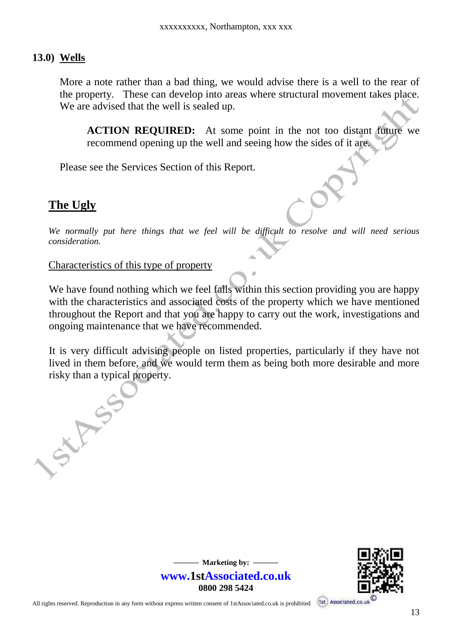#### **13.0) Wells**

More a note rather than a bad thing, we would advise there is a well to the rear of the property. These can develop into areas where structural movement takes place. We are advised that the well is sealed up.

**ACTION REQUIRED:** At some point in the not too distant future we recommend opening up the well and seeing how the sides of it are.

Please see the Services Section of this Report.

#### **The Ugly**

*We normally put here things that we feel will be difficult to resolve and will need serious consideration.*

Characteristics of this type of property

We have found nothing which we feel falls within this section providing you are happy with the characteristics and associated costs of the property which we have mentioned throughout the Report and that you are happy to carry out the work, investigations and ongoing maintenance that we have recommended.

It is very difficult advising people on listed properties, particularly if they have not lived in them before, and we would term them as being both more desirable and more risky than a typical property.

> **——— Marketing by: —— www.1stAssociated.co.uk 0800 298 5424**

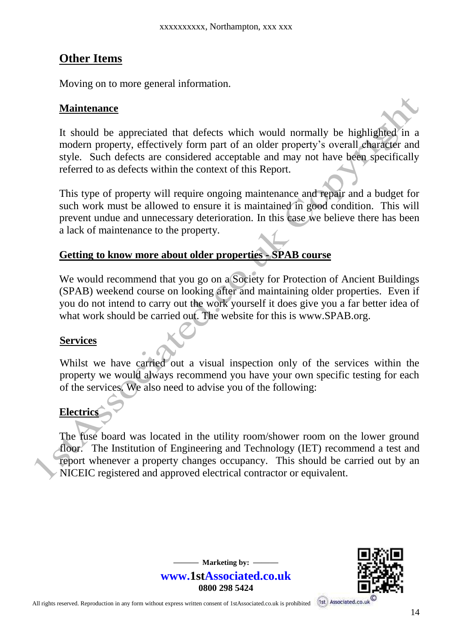### **Other Items**

Moving on to more general information.

#### **Maintenance**

It should be appreciated that defects which would normally be highlighted in a modern property, effectively form part of an older property's overall character and style. Such defects are considered acceptable and may not have been specifically referred to as defects within the context of this Report.

This type of property will require ongoing maintenance and repair and a budget for such work must be allowed to ensure it is maintained in good condition. This will prevent undue and unnecessary deterioration. In this case we believe there has been a lack of maintenance to the property.

#### **Getting to know more about older properties - SPAB course**

We would recommend that you go on a Society for Protection of Ancient Buildings (SPAB) weekend course on looking after and maintaining older properties. Even if you do not intend to carry out the work yourself it does give you a far better idea of what work should be carried out. The website for this is www.SPAB.org.

#### **Services**

Whilst we have carried out a visual inspection only of the services within the property we would always recommend you have your own specific testing for each of the services. We also need to advise you of the following:

#### **Electrics**

The fuse board was located in the utility room/shower room on the lower ground floor. The Institution of Engineering and Technology (IET) recommend a test and report whenever a property changes occupancy. This should be carried out by an NICEIC registered and approved electrical contractor or equivalent.

> **—** Marketing by:  $$ **www.1stAssociated.co.uk 0800 298 5424**

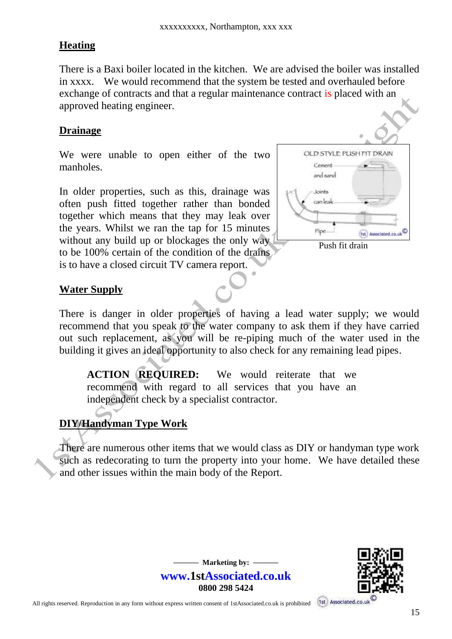#### **Heating**

There is a Baxi boiler located in the kitchen. We are advised the boiler was installed in xxxx. We would recommend that the system be tested and overhauled before exchange of contracts and that a regular maintenance contract is placed with an approved heating engineer.

#### **Drainage**

We were unable to open either of the two manholes.

In older properties, such as this, drainage was often push fitted together rather than bonded together which means that they may leak over the years. Whilst we ran the tap for 15 minutes without any build up or blockages the only way to be 100% certain of the condition of the drains is to have a closed circuit TV camera report.



#### **Water Supply**

There is danger in older properties of having a lead water supply; we would recommend that you speak to the water company to ask them if they have carried out such replacement, as you will be re-piping much of the water used in the building it gives an ideal opportunity to also check for any remaining lead pipes.

**ACTION REQUIRED:** We would reiterate that we recommend with regard to all services that you have an independent check by a specialist contractor.

#### **DIY/Handyman Type Work**

There are numerous other items that we would class as DIY or handyman type work such as redecorating to turn the property into your home. We have detailed these and other issues within the main body of the Report.

> $-$  Marketing by:  $$ **www.1stAssociated.co.uk 0800 298 5424**

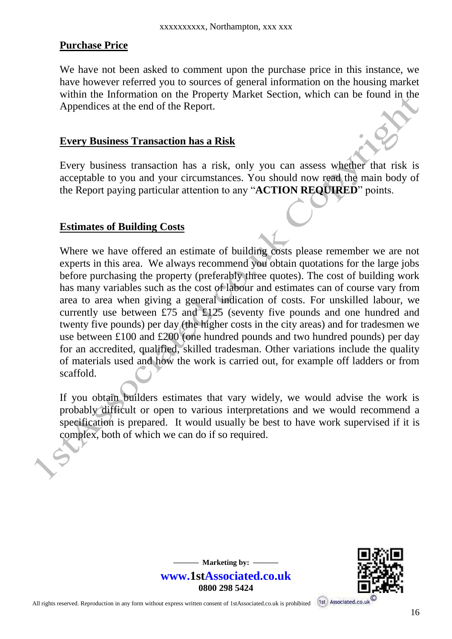#### **Purchase Price**

We have not been asked to comment upon the purchase price in this instance, we have however referred you to sources of general information on the housing market within the Information on the Property Market Section, which can be found in the Appendices at the end of the Report.

#### **Every Business Transaction has a Risk**

Every business transaction has a risk, only you can assess whether that risk is acceptable to you and your circumstances. You should now read the main body of the Report paying particular attention to any "**ACTION REQUIRED**" points.

#### **Estimates of Building Costs**

Where we have offered an estimate of building costs please remember we are not experts in this area. We always recommend you obtain quotations for the large jobs before purchasing the property (preferably three quotes). The cost of building work has many variables such as the cost of labour and estimates can of course vary from area to area when giving a general indication of costs. For unskilled labour, we currently use between £75 and £125 (seventy five pounds and one hundred and twenty five pounds) per day (the higher costs in the city areas) and for tradesmen we use between £100 and £200 (one hundred pounds and two hundred pounds) per day for an accredited, qualified, skilled tradesman. Other variations include the quality of materials used and how the work is carried out, for example off ladders or from scaffold.

If you obtain builders estimates that vary widely, we would advise the work is probably difficult or open to various interpretations and we would recommend a specification is prepared. It would usually be best to have work supervised if it is complex, both of which we can do if so required.

> **—** Marketing by:  $$ **www.1stAssociated.co.uk 0800 298 5424**

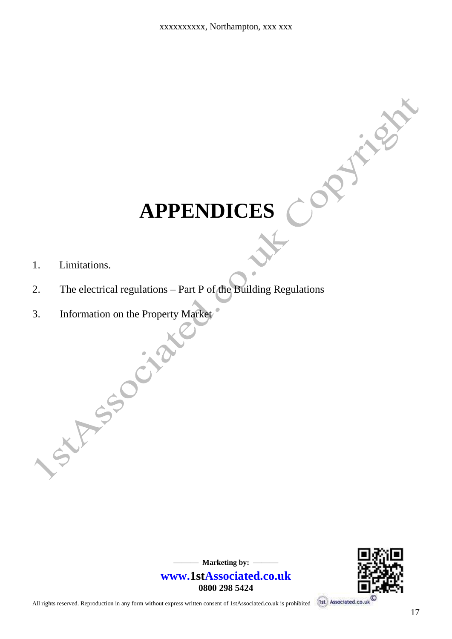# **APPENDICES**

- 1. Limitations.
- 2. The electrical regulations Part P of the Building Regulations
- 3. Information on the Property Market



CAPINES

All rights reserved. Reproduction in any form without express written consent of 1stAssociated.co.uk is prohibited

**—** Marketing by:  $-\frac{1}{2}$ 

**0800 298 5424**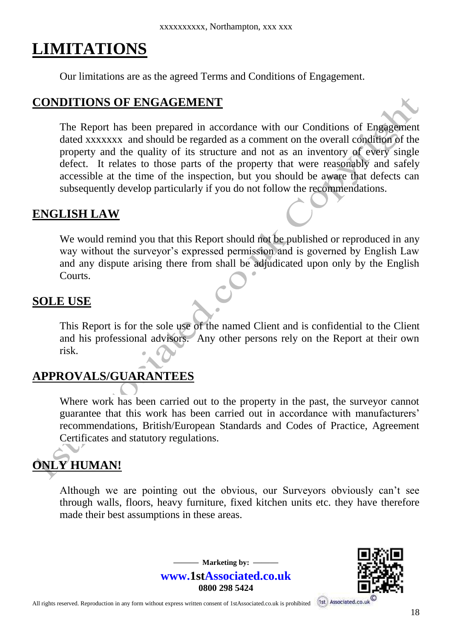# **LIMITATIONS**

Our limitations are as the agreed Terms and Conditions of Engagement.

#### **CONDITIONS OF ENGAGEMENT**

The Report has been prepared in accordance with our Conditions of Engagement dated xxxxxxx and should be regarded as a comment on the overall condition of the property and the quality of its structure and not as an inventory of every single defect. It relates to those parts of the property that were reasonably and safely accessible at the time of the inspection, but you should be aware that defects can subsequently develop particularly if you do not follow the recommendations.

#### **ENGLISH LAW**

We would remind you that this Report should not be published or reproduced in any way without the surveyor's expressed permission and is governed by English Law and any dispute arising there from shall be adjudicated upon only by the English Courts.

#### **SOLE USE**

This Report is for the sole use of the named Client and is confidential to the Client and his professional advisors. Any other persons rely on the Report at their own risk.

# **APPROVALS/GUARANTEES**

Where work has been carried out to the property in the past, the surveyor cannot guarantee that this work has been carried out in accordance with manufacturers' recommendations, British/European Standards and Codes of Practice, Agreement Certificates and statutory regulations.

# **ONLY HUMAN!**

Although we are pointing out the obvious, our Surveyors obviously can't see through walls, floors, heavy furniture, fixed kitchen units etc. they have therefore made their best assumptions in these areas.

> $-$  Marketing by:  $$ **www.1stAssociated.co.uk 0800 298 5424**

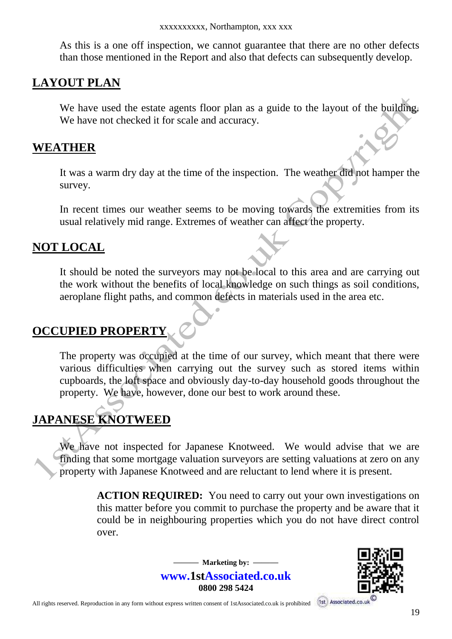As this is a one off inspection, we cannot guarantee that there are no other defects than those mentioned in the Report and also that defects can subsequently develop.

#### **LAYOUT PLAN**

We have used the estate agents floor plan as a guide to the layout of the building. We have not checked it for scale and accuracy.

#### **WEATHER**

It was a warm dry day at the time of the inspection. The weather did not hamper the survey.

In recent times our weather seems to be moving towards the extremities from its usual relatively mid range. Extremes of weather can affect the property.

#### **NOT LOCAL**

It should be noted the surveyors may not be local to this area and are carrying out the work without the benefits of local knowledge on such things as soil conditions, aeroplane flight paths, and common defects in materials used in the area etc.

#### **OCCUPIED PROPERTY**

The property was occupied at the time of our survey, which meant that there were various difficulties when carrying out the survey such as stored items within cupboards, the loft space and obviously day-to-day household goods throughout the property. We have, however, done our best to work around these.

# **JAPANESE KNOTWEED**

We have not inspected for Japanese Knotweed. We would advise that we are finding that some mortgage valuation surveyors are setting valuations at zero on any property with Japanese Knotweed and are reluctant to lend where it is present.

> **ACTION REQUIRED:** You need to carry out your own investigations on this matter before you commit to purchase the property and be aware that it could be in neighbouring properties which you do not have direct control over.



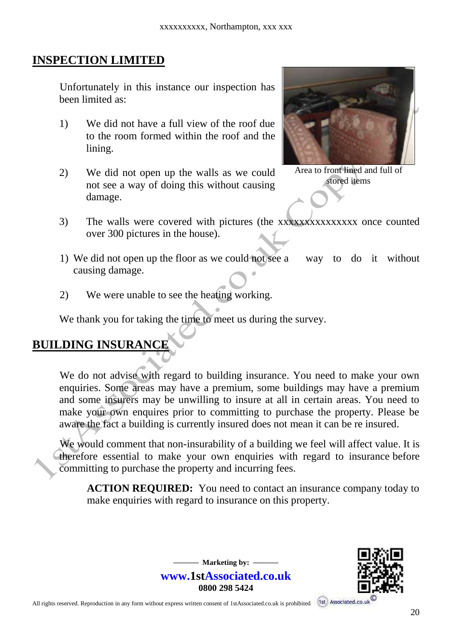#### **INSPECTION LIMITED**

Unfortunately in this instance our inspection has been limited as:

- 1) We did not have a full view of the roof due to the room formed within the roof and the lining.
- 2) We did not open up the walls as we could not see a way of doing this without causing damage.



Area to front lined and full of stored items

- 3) The walls were covered with pictures (the xxxxxxxxxxxxxxx once counted over 300 pictures in the house).
- 1) We did not open up the floor as we could not see a way to do it without causing damage.
- 2) We were unable to see the heating working.

We thank you for taking the time to meet us during the survey.

# **BUILDING INSURANCE**

We do not advise with regard to building insurance. You need to make your own enquiries. Some areas may have a premium, some buildings may have a premium and some insurers may be unwilling to insure at all in certain areas. You need to make your own enquires prior to committing to purchase the property. Please be aware the fact a building is currently insured does not mean it can be re insured.

We would comment that non-insurability of a building we feel will affect value. It is therefore essential to make your own enquiries with regard to insurance before committing to purchase the property and incurring fees.

> $-$  Marketing by:  $$ **www.1stAssociated.co.uk 0800 298 5424**

 **ACTION REQUIRED:** You need to contact an insurance company today to make enquiries with regard to insurance on this property.

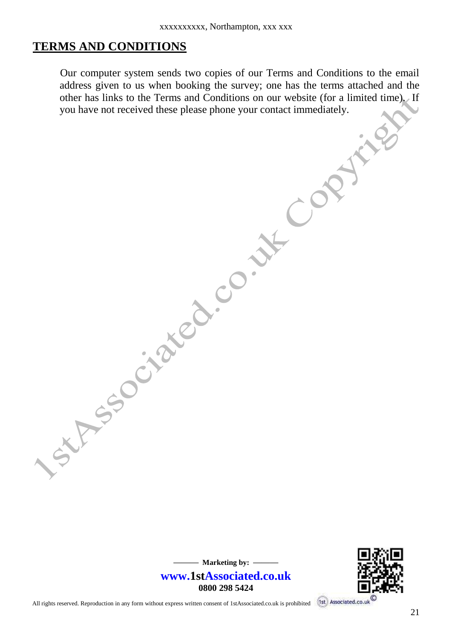#### **TERMS AND CONDITIONS**

Our computer system sends two copies of our Terms and Conditions to the email address given to us when booking the survey; one has the terms attached and the other has links to the Terms and Conditions on our website (for a limited time). If you have not received these please phone your contact immediately.





All rights reserved. Reproduction in any form without express written consent of 1stAssociated.co.uk is prohibited

Is this social control or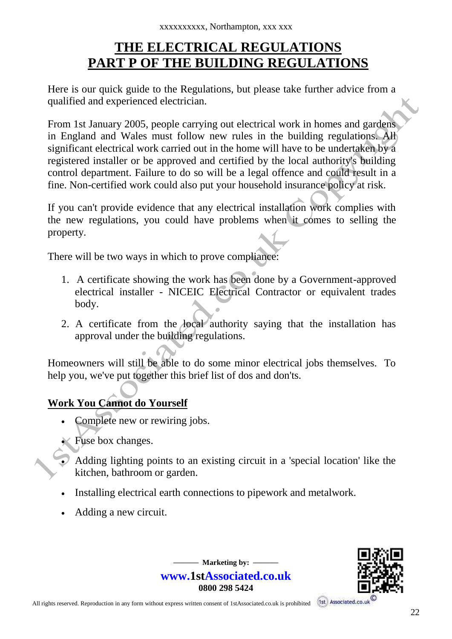# **THE ELECTRICAL REGULATIONS PART P OF THE BUILDING REGULATIONS**

Here is our quick guide to the Regulations, but please take further advice from a qualified and experienced electrician.

From 1st January 2005, people carrying out electrical work in homes and gardens in England and Wales must follow new rules in the building regulations. All significant electrical work carried out in the home will have to be undertaken by a registered installer or be approved and certified by the local authority's building control department. Failure to do so will be a legal offence and could result in a fine. Non-certified work could also put your household insurance policy at risk.

If you can't provide evidence that any electrical installation work complies with the new regulations, you could have problems when it comes to selling the property.

There will be two ways in which to prove compliance:

- 1. A certificate showing the work has been done by a Government-approved electrical installer - NICEIC Electrical Contractor or equivalent trades body.
- 2. A certificate from the local authority saying that the installation has approval under the building regulations.

Homeowners will still be able to do some minor electrical jobs themselves. To help you, we've put together this brief list of dos and don'ts.

#### **Work You Cannot do Yourself**

- Complete new or rewiring jobs.
- Fuse box changes.
- $\bullet$  Adding lighting points to an existing circuit in a 'special location' like the kitchen, bathroom or garden.

 $-$  Marketing by:  $$ **www.1stAssociated.co.uk 0800 298 5424**

- Installing electrical earth connections to pipework and metalwork.
- Adding a new circuit.

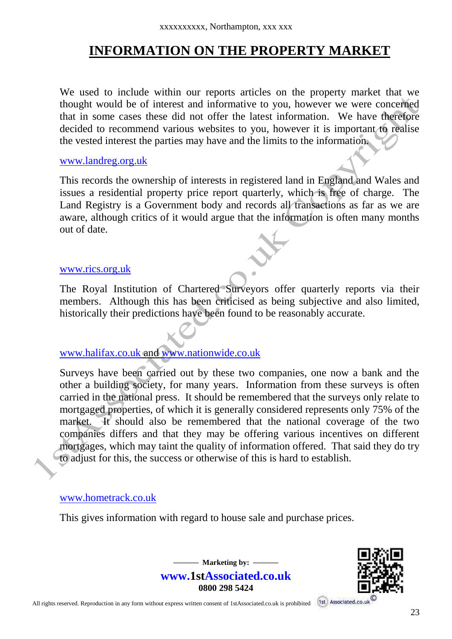# **INFORMATION ON THE PROPERTY MARKET**

We used to include within our reports articles on the property market that we thought would be of interest and informative to you, however we were concerned that in some cases these did not offer the latest information. We have therefore decided to recommend various websites to you, however it is important to realise the vested interest the parties may have and the limits to the information.

#### [www.landreg.org.uk](http://www.landreg.org.uk/)

This records the ownership of interests in registered land in England and Wales and issues a residential property price report quarterly, which is free of charge. The Land Registry is a Government body and records all transactions as far as we are aware, although critics of it would argue that the information is often many months out of date.

#### [www.rics.org.uk](http://www.rics.org.uk/)

The Royal Institution of Chartered Surveyors offer quarterly reports via their members. Although this has been criticised as being subjective and also limited, historically their predictions have been found to be reasonably accurate.

#### [www.halifax.co.uk](http://www.halifax.co.uk/) and [www.nationwide.co.uk](http://www.nationwide.co.uk/)

Surveys have been carried out by these two companies, one now a bank and the other a building society, for many years. Information from these surveys is often carried in the national press. It should be remembered that the surveys only relate to mortgaged properties, of which it is generally considered represents only 75% of the market. It should also be remembered that the national coverage of the two companies differs and that they may be offering various incentives on different mortgages, which may taint the quality of information offered. That said they do try to adjust for this, the success or otherwise of this is hard to establish.

#### www.hometrack.co.uk

This gives information with regard to house sale and purchase prices.

 $-$  Marketing by:  $$ **www.1stAssociated.co.uk 0800 298 5424**